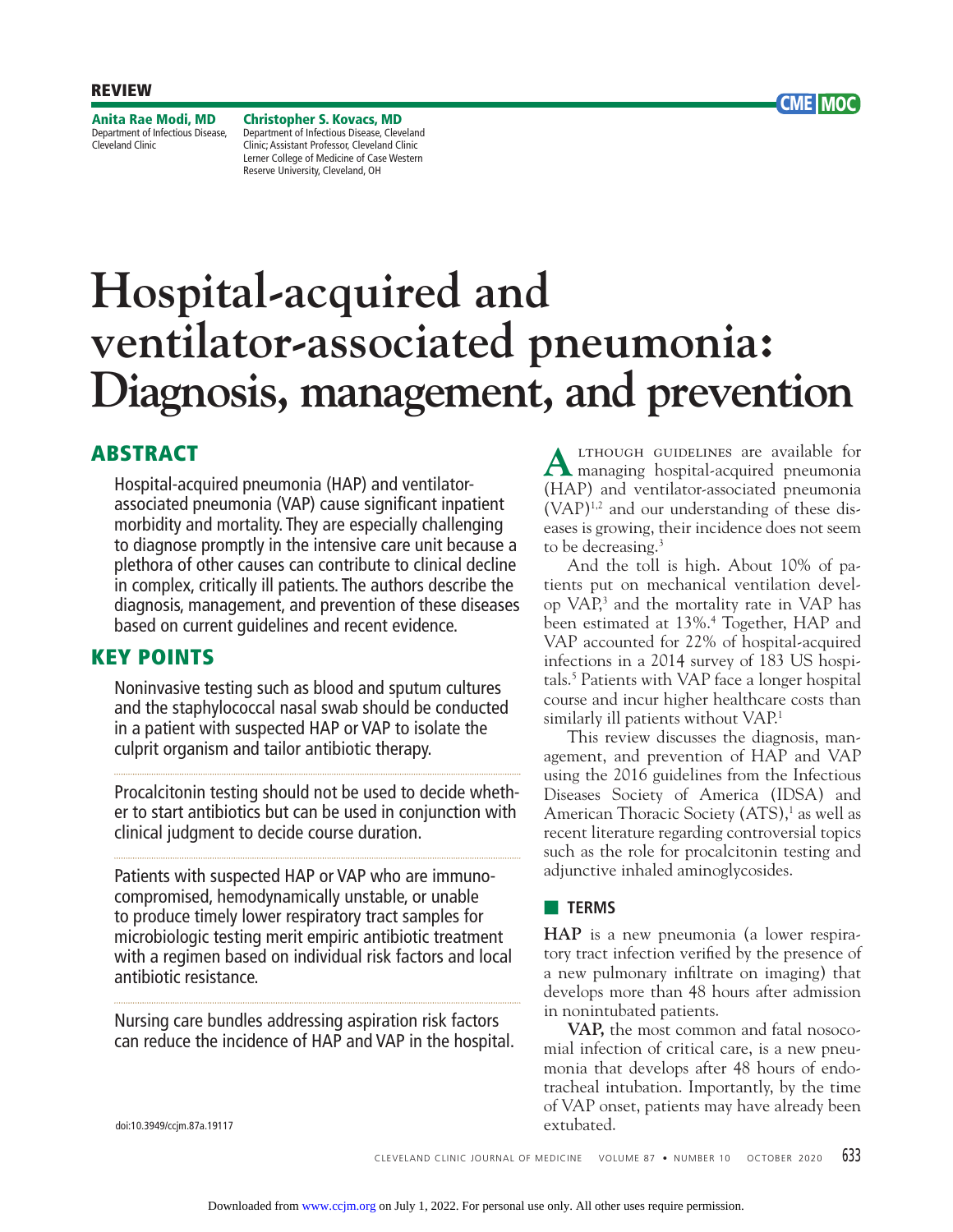**Anita Rae Modi, MD** Department of Infectious Disease, Cleveland Clinic

**Christopher S. Kovacs, MD** Department of Infectious Disease, Cleveland Clinic; Assistant Professor, Cleveland Clinic Lerner College of Medicine of Case Western Reserve University, Cleveland, OH

# **Hospital-acquired and ventilator-associated pneumonia: Diagnosis, management, and prevention**

# **ABSTRACT**

Hospital-acquired pneumonia (HAP) and ventilatorassociated pneumonia (VAP) cause significant inpatient morbidity and mortality. They are especially challenging to diagnose promptly in the intensive care unit because a plethora of other causes can contribute to clinical decline in complex, critically ill patients. The authors describe the diagnosis, management, and prevention of these diseases based on current guidelines and recent evidence.

## **KEY POINTS**

Noninvasive testing such as blood and sputum cultures and the staphylococcal nasal swab should be conducted in a patient with suspected HAP or VAP to isolate the culprit organism and tailor antibiotic therapy.

Procalcitonin testing should not be used to decide whether to start antibiotics but can be used in conjunction with clinical judgment to decide course duration.

Patients with suspected HAP or VAP who are immunocompromised, hemodynamically unstable, or unable to produce timely lower respiratory tract samples for microbiologic testing merit empiric antibiotic treatment with a regimen based on individual risk factors and local antibiotic resistance.

Nursing care bundles addressing aspiration risk factors can reduce the incidence of HAP and VAP in the hospital.

**A**lthough guidelines are available for managing hospital-acquired pneumonia (HAP) and ventilator-associated pneumonia (VAP)1,2 and our understanding of these diseases is growing, their incidence does not seem to be decreasing.<sup>3</sup>

**CME MOC**

 And the toll is high. About 10% of patients put on mechanical ventilation develop VAP,<sup>3</sup> and the mortality rate in VAP has been estimated at 13%.4 Together, HAP and VAP accounted for 22% of hospital-acquired infections in a 2014 survey of 183 US hospitals.5 Patients with VAP face a longer hospital course and incur higher healthcare costs than similarly ill patients without VAP.<sup>1</sup>

 This review discusses the diagnosis, management, and prevention of HAP and VAP using the 2016 guidelines from the Infectious Diseases Society of America (IDSA) and American Thoracic Society (ATS),<sup>1</sup> as well as recent literature regarding controversial topics such as the role for procalcitonin testing and adjunctive inhaled aminoglycosides.

## ■ **TERMS**

**HAP** is a new pneumonia (a lower respiratory tract infection verified by the presence of a new pulmonary infiltrate on imaging) that develops more than 48 hours after admission in nonintubated patients.

**VAP,** the most common and fatal nosocomial infection of critical care, is a new pneumonia that develops after 48 hours of endotracheal intubation. Importantly, by the time of VAP onset, patients may have already been extubated.

doi:10.3949/ccjm.87a.19117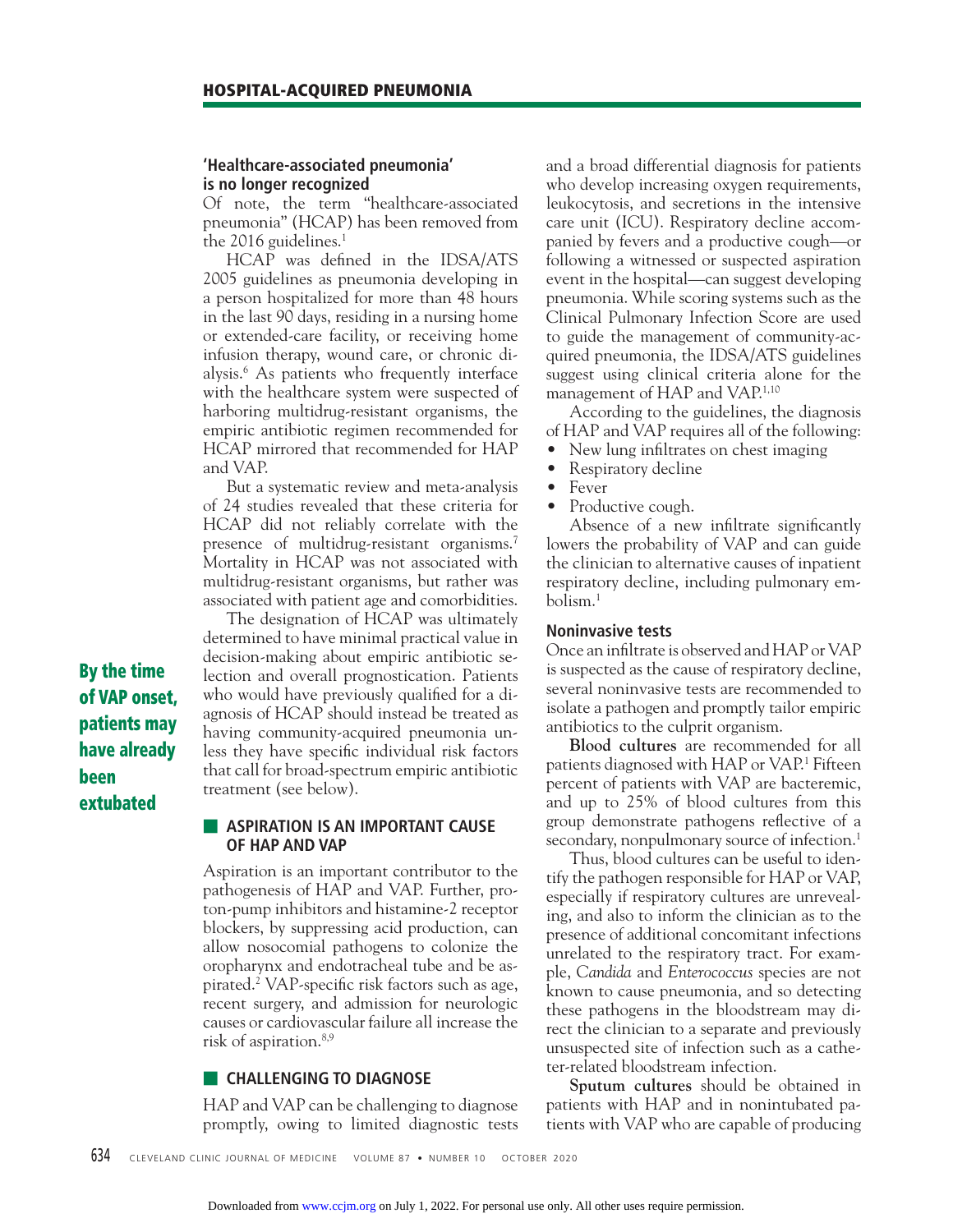#### **'Healthcare-associated pneumonia' is no longer recognized**

Of note, the term "healthcare-associated pneumonia" (HCAP) has been removed from the 2016 guidelines. $1$ 

HCAP was defined in the IDSA/ATS 2005 guidelines as pneumonia developing in a person hospitalized for more than 48 hours in the last 90 days, residing in a nursing home or extended-care facility, or receiving home infusion therapy, wound care, or chronic dialysis.6 As patients who frequently interface with the healthcare system were suspected of harboring multidrug-resistant organisms, the empiric antibiotic regimen recommended for HCAP mirrored that recommended for HAP and VAP.

 But a systematic review and meta-analysis of 24 studies revealed that these criteria for HCAP did not reliably correlate with the presence of multidrug-resistant organisms.<sup>7</sup> Mortality in HCAP was not associated with multidrug-resistant organisms, but rather was associated with patient age and comorbidities.

 The designation of HCAP was ultimately determined to have minimal practical value in decision-making about empiric antibiotic selection and overall prognostication. Patients who would have previously qualified for a diagnosis of HCAP should instead be treated as having community-acquired pneumonia unless they have specific individual risk factors that call for broad-spectrum empiric antibiotic treatment (see below).

**By the time of VAP onset, patients may have already been extubated**

## **E** ASPIRATION IS AN IMPORTANT CAUSE **OF HAP AND VAP**

Aspiration is an important contributor to the pathogenesis of HAP and VAP. Further, proton-pump inhibitors and histamine-2 receptor blockers, by suppressing acid production, can allow nosocomial pathogens to colonize the oropharynx and endotracheal tube and be aspirated.<sup>2</sup> VAP-specific risk factors such as age, recent surgery, and admission for neurologic causes or cardiovascular failure all increase the risk of aspiration.8,9

### ■ **CHALLENGING TO DIAGNOSE**

HAP and VAP can be challenging to diagnose promptly, owing to limited diagnostic tests and a broad differential diagnosis for patients who develop increasing oxygen requirements, leukocytosis, and secretions in the intensive care unit (ICU). Respiratory decline accompanied by fevers and a productive cough—or following a witnessed or suspected aspiration event in the hospital—can suggest developing pneumonia. While scoring systems such as the Clinical Pulmonary Infection Score are used to guide the management of community-acquired pneumonia, the IDSA/ATS guidelines suggest using clinical criteria alone for the management of HAP and VAP.1,10

 According to the guidelines, the diagnosis of HAP and VAP requires all of the following:

- New lung infiltrates on chest imaging
- Respiratory decline
- Fever
- Productive cough.

Absence of a new infiltrate significantly lowers the probability of VAP and can guide the clinician to alternative causes of inpatient respiratory decline, including pulmonary embolism.1

#### **Noninvasive tests**

Once an infiltrate is observed and HAP or VAP is suspected as the cause of respiratory decline, several noninvasive tests are recommended to isolate a pathogen and promptly tailor empiric antibiotics to the culprit organism.

**Blood cultures** are recommended for all patients diagnosed with HAP or VAP.1 Fifteen percent of patients with VAP are bacteremic, and up to 25% of blood cultures from this group demonstrate pathogens reflective of a secondary, nonpulmonary source of infection.<sup>1</sup>

 Thus, blood cultures can be useful to identify the pathogen responsible for HAP or VAP, especially if respiratory cultures are unrevealing, and also to inform the clinician as to the presence of additional concomitant infections unrelated to the respiratory tract. For example, *Candida* and *Enterococcus* species are not known to cause pneumonia, and so detecting these pathogens in the bloodstream may direct the clinician to a separate and previously unsuspected site of infection such as a catheter-related bloodstream infection.

**Sputum cultures** should be obtained in patients with HAP and in nonintubated patients with VAP who are capable of producing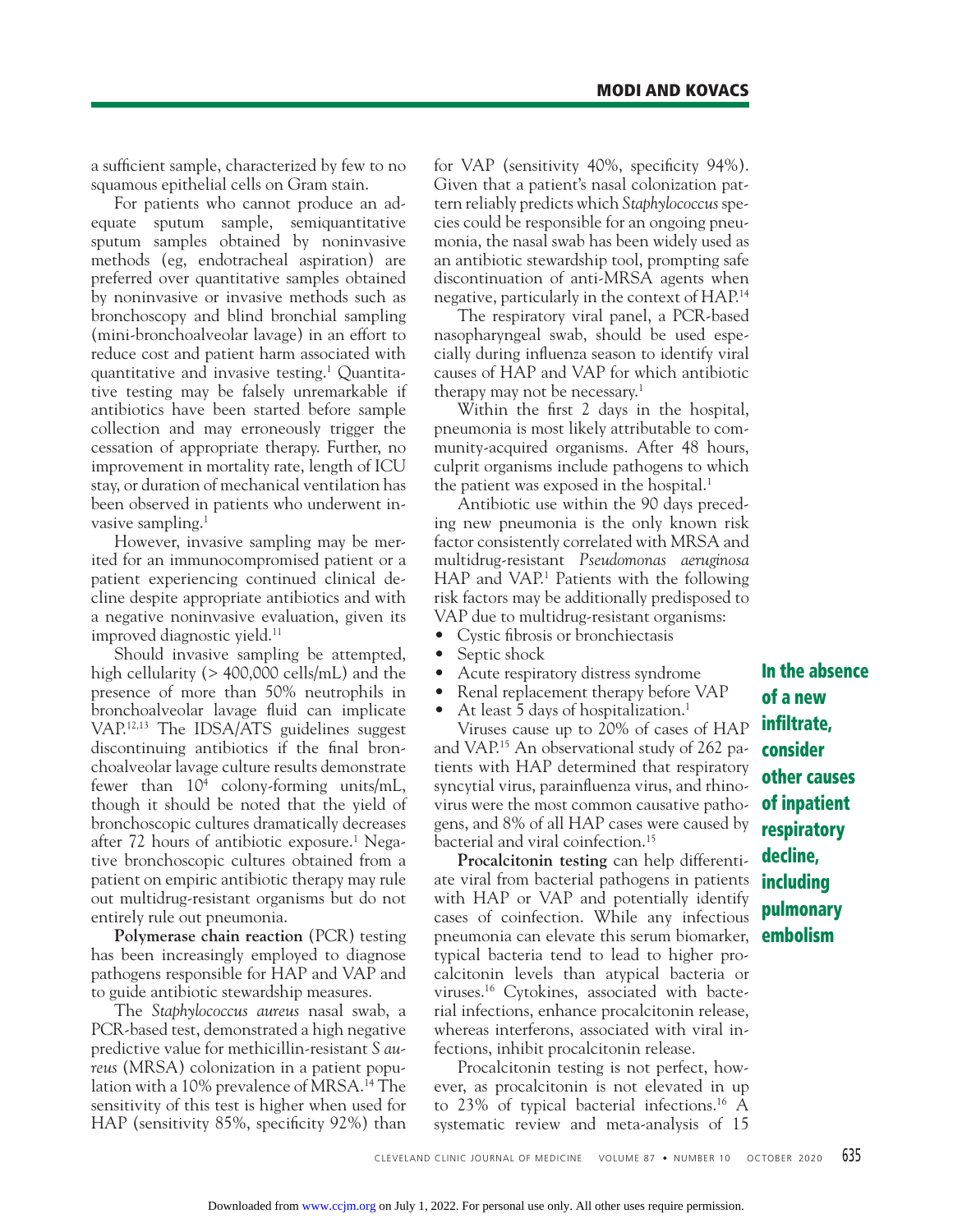a sufficient sample, characterized by few to no squamous epithelial cells on Gram stain.

 For patients who cannot produce an adequate sputum sample, semiquantitative sputum samples obtained by noninvasive methods (eg, endotracheal aspiration) are preferred over quantitative samples obtained by noninvasive or invasive methods such as bronchoscopy and blind bronchial sampling (mini-bronchoalveolar lavage) in an effort to reduce cost and patient harm associated with quantitative and invasive testing.1 Quantitative testing may be falsely unremarkable if antibiotics have been started before sample collection and may erroneously trigger the cessation of appropriate therapy. Further, no improvement in mortality rate, length of ICU stay, or duration of mechanical ventilation has been observed in patients who underwent invasive sampling.<sup>1</sup>

 However, invasive sampling may be merited for an immunocompromised patient or a patient experiencing continued clinical decline despite appropriate antibiotics and with a negative noninvasive evaluation, given its improved diagnostic yield.<sup>11</sup>

 Should invasive sampling be attempted, high cellularity (> 400,000 cells/mL) and the presence of more than 50% neutrophils in bronchoalveolar lavage fluid can implicate VAP.12,13 The IDSA/ATS guidelines suggest discontinuing antibiotics if the final bronchoalveolar lavage culture results demonstrate fewer than 104 colony-forming units/mL, though it should be noted that the yield of bronchoscopic cultures dramatically decreases after 72 hours of antibiotic exposure.<sup>1</sup> Negative bronchoscopic cultures obtained from a patient on empiric antibiotic therapy may rule out multidrug-resistant organisms but do not entirely rule out pneumonia.

**Polymerase chain reaction** (PCR) testing has been increasingly employed to diagnose pathogens responsible for HAP and VAP and to guide antibiotic stewardship measures.

 The *Staphylococcus aureus* nasal swab, a PCR-based test, demonstrated a high negative predictive value for methicillin-resistant *S aureus* (MRSA) colonization in a patient population with a 10% prevalence of MRSA.<sup>14</sup> The sensitivity of this test is higher when used for HAP (sensitivity  $85\%$ , specificity  $92\%$ ) than

for VAP (sensitivity  $40\%$ , specificity  $94\%$ ). Given that a patient's nasal colonization pattern reliably predicts which *Staphylococcus* species could be responsible for an ongoing pneumonia, the nasal swab has been widely used as an antibiotic stewardship tool, prompting safe discontinuation of anti-MRSA agents when negative, particularly in the context of HAP.14

 The respiratory viral panel, a PCR-based nasopharyngeal swab, should be used especially during influenza season to identify viral causes of HAP and VAP for which antibiotic therapy may not be necessary.<sup>1</sup>

Within the first 2 days in the hospital, pneumonia is most likely attributable to community-acquired organisms. After 48 hours, culprit organisms include pathogens to which the patient was exposed in the hospital.<sup>1</sup>

 Antibiotic use within the 90 days preceding new pneumonia is the only known risk factor consistently correlated with MRSA and multidrug-resistant *Pseudomonas aeruginosa*  HAP and VAP.<sup>1</sup> Patients with the following risk factors may be additionally predisposed to VAP due to multidrug-resistant organisms:

- Cystic fibrosis or bronchiectasis
- Septic shock
- Acute respiratory distress syndrome
- Renal replacement therapy before VAP

At least 5 days of hospitalization.<sup>1</sup>

 Viruses cause up to 20% of cases of HAP and VAP.15 An observational study of 262 patients with HAP determined that respiratory syncytial virus, parainfluenza virus, and rhinovirus were the most common causative pathogens, and 8% of all HAP cases were caused by bacterial and viral coinfection.<sup>15</sup>

**Procalcitonin testing** can help differentiate viral from bacterial pathogens in patients with HAP or VAP and potentially identify cases of coinfection. While any infectious pneumonia can elevate this serum biomarker, typical bacteria tend to lead to higher procalcitonin levels than atypical bacteria or viruses.16 Cytokines, associated with bacterial infections, enhance procalcitonin release, whereas interferons, associated with viral infections, inhibit procalcitonin release.

 Procalcitonin testing is not perfect, however, as procalcitonin is not elevated in up to 23% of typical bacterial infections.<sup>16</sup> A systematic review and meta-analysis of 15

**In the absence of a new infiltrate. consider other causes of inpatient respiratory decline, including pulmonary embolism**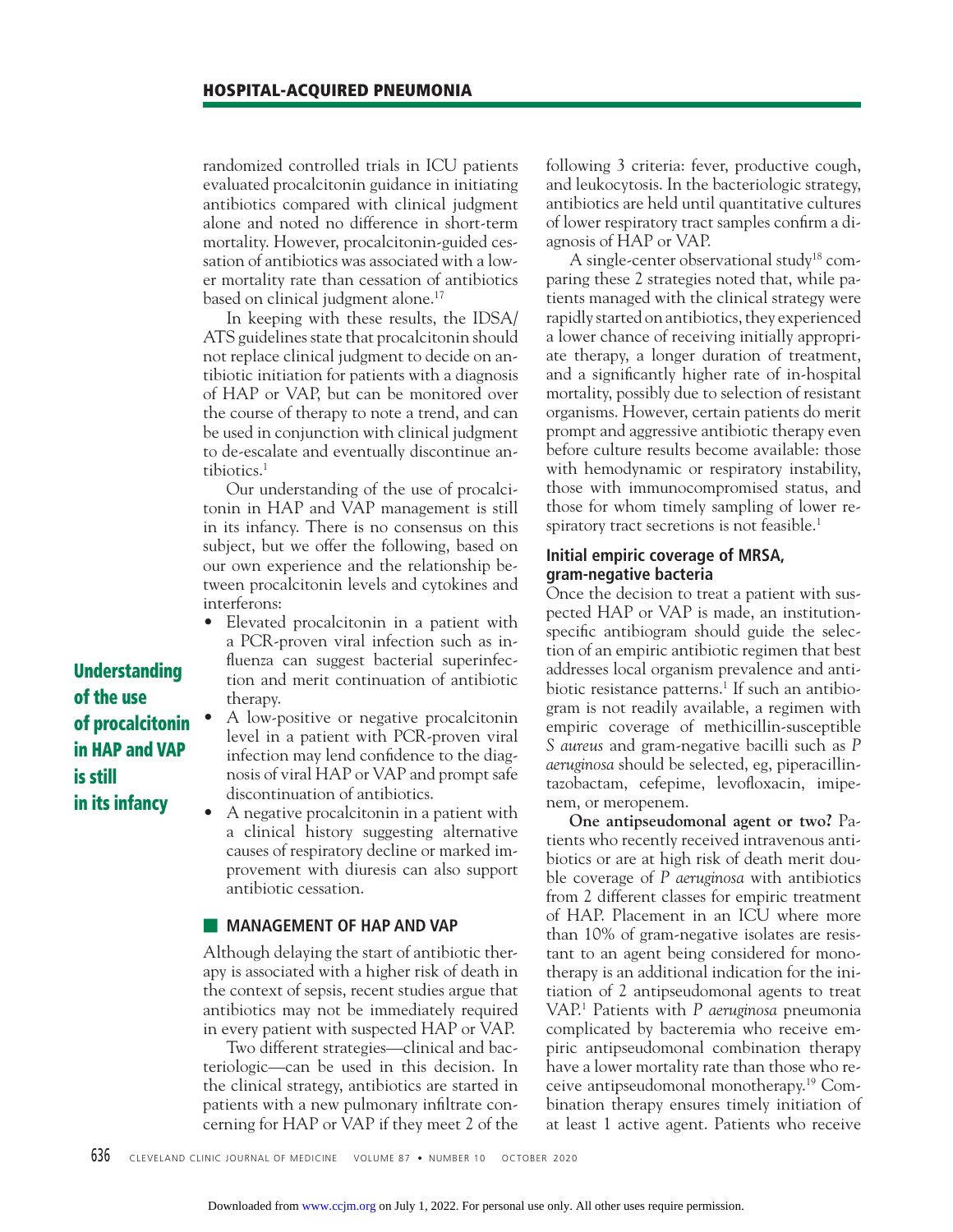randomized controlled trials in ICU patients evaluated procalcitonin guidance in initiating antibiotics compared with clinical judgment alone and noted no difference in short-term mortality. However, procalcitonin-guided cessation of antibiotics was associated with a lower mortality rate than cessation of antibiotics based on clinical judgment alone.<sup>17</sup>

 In keeping with these results, the IDSA/ ATS guidelines state that procalcitonin should not replace clinical judgment to decide on antibiotic initiation for patients with a diagnosis of HAP or VAP, but can be monitored over the course of therapy to note a trend, and can be used in conjunction with clinical judgment to de-escalate and eventually discontinue antibiotics.<sup>1</sup>

 Our understanding of the use of procalcitonin in HAP and VAP management is still in its infancy. There is no consensus on this subject, but we offer the following, based on our own experience and the relationship between procalcitonin levels and cytokines and interferons:

- Elevated procalcitonin in a patient with a PCR-proven viral infection such as influenza can suggest bacterial superinfection and merit continuation of antibiotic therapy.
- A low-positive or negative procalcitonin level in a patient with PCR-proven viral infection may lend confidence to the diagnosis of viral HAP or VAP and prompt safe discontinuation of antibiotics.
- A negative procalcitonin in a patient with a clinical history suggesting alternative causes of respiratory decline or marked improvement with diuresis can also support antibiotic cessation.

## **E** MANAGEMENT OF HAP AND VAP

Although delaying the start of antibiotic therapy is associated with a higher risk of death in the context of sepsis, recent studies argue that antibiotics may not be immediately required in every patient with suspected HAP or VAP.

 Two different strategies—clinical and bacteriologic—can be used in this decision. In the clinical strategy, antibiotics are started in patients with a new pulmonary infiltrate concerning for HAP or VAP if they meet 2 of the following 3 criteria: fever, productive cough, and leukocytosis. In the bacteriologic strategy, antibiotics are held until quantitative cultures of lower respiratory tract samples confirm a diagnosis of HAP or VAP.

A single-center observational study<sup>18</sup> comparing these 2 strategies noted that, while patients managed with the clinical strategy were rapidly started on antibiotics, they experienced a lower chance of receiving initially appropriate therapy, a longer duration of treatment, and a significantly higher rate of in-hospital mortality, possibly due to selection of resistant organisms. However, certain patients do merit prompt and aggressive antibiotic therapy even before culture results become available: those with hemodynamic or respiratory instability, those with immunocompromised status, and those for whom timely sampling of lower respiratory tract secretions is not feasible.<sup>1</sup>

## **Initial empiric coverage of MRSA, gram-negative bacteria**

Once the decision to treat a patient with suspected HAP or VAP is made, an institutionspecific antibiogram should guide the selection of an empiric antibiotic regimen that best addresses local organism prevalence and antibiotic resistance patterns.<sup>1</sup> If such an antibiogram is not readily available, a regimen with empiric coverage of methicillin-susceptible *S aureus* and gram-negative bacilli such as *P aeruginosa* should be selected, eg, piperacillintazobactam, cefepime, levofloxacin, imipenem, or meropenem.

**One antipseudomonal agent or two?** Patients who recently received intravenous antibiotics or are at high risk of death merit double coverage of *P aeruginosa* with antibiotics from 2 different classes for empiric treatment of HAP. Placement in an ICU where more than 10% of gram-negative isolates are resistant to an agent being considered for monotherapy is an additional indication for the initiation of 2 antipseudomonal agents to treat VAP.1 Patients with *P aeruginosa* pneumonia complicated by bacteremia who receive empiric antipseudomonal combination therapy have a lower mortality rate than those who receive antipseudomonal monotherapy.19 Combination therapy ensures timely initiation of at least 1 active agent. Patients who receive

**Understanding of the use of procalcitonin in HAP and VAP is still in its infancy**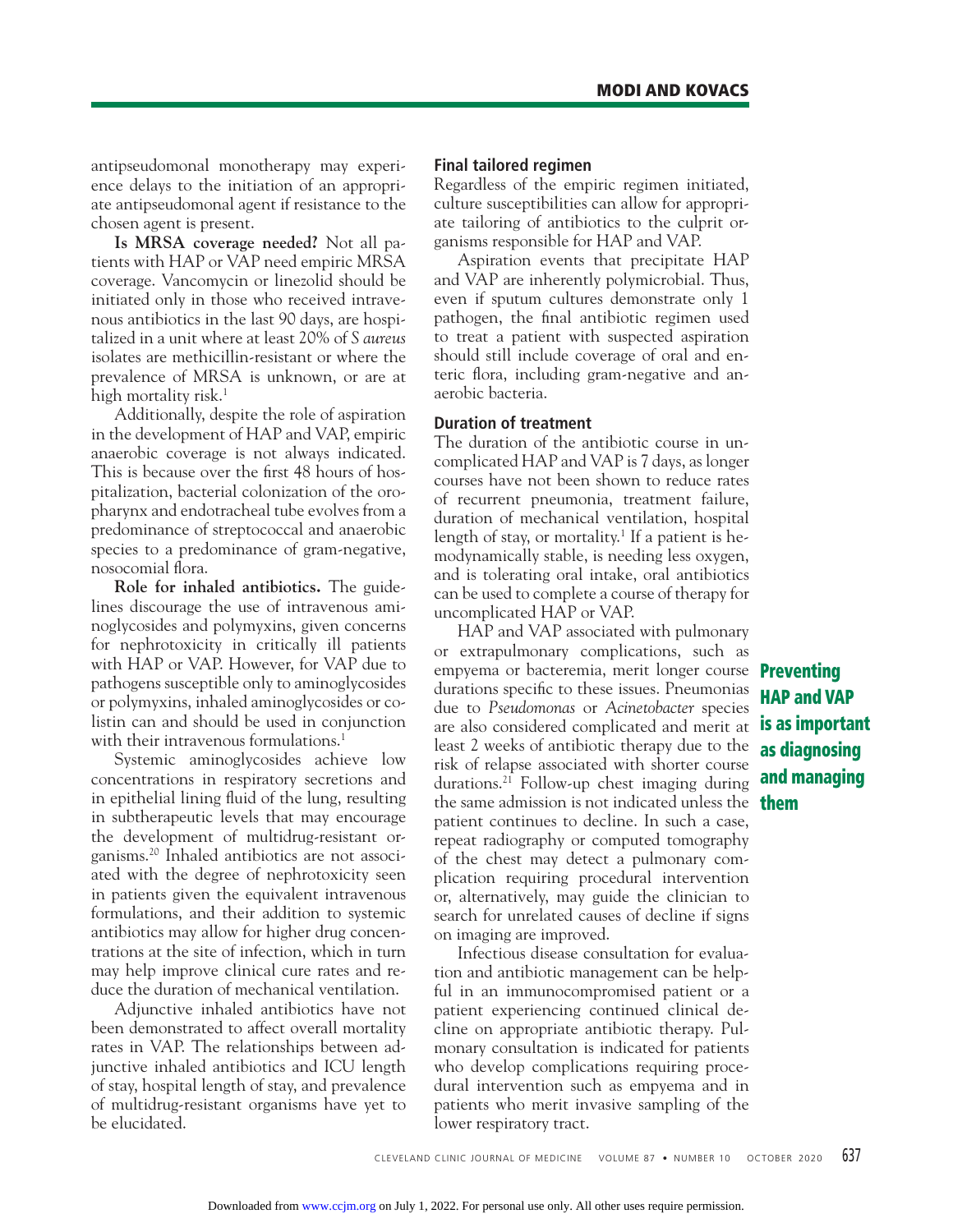antipseudomonal monotherapy may experience delays to the initiation of an appropriate antipseudomonal agent if resistance to the chosen agent is present.

**Is MRSA coverage needed?** Not all patients with HAP or VAP need empiric MRSA coverage. Vancomycin or linezolid should be initiated only in those who received intravenous antibiotics in the last 90 days, are hospitalized in a unit where at least 20% of *S aureus*  isolates are methicillin-resistant or where the prevalence of MRSA is unknown, or are at high mortality risk.<sup>1</sup>

 Additionally, despite the role of aspiration in the development of HAP and VAP, empiric anaerobic coverage is not always indicated. This is because over the first 48 hours of hospitalization, bacterial colonization of the oropharynx and endotracheal tube evolves from a predominance of streptococcal and anaerobic species to a predominance of gram-negative, nosocomial flora.

**Role for inhaled antibiotics.** The guidelines discourage the use of intravenous aminoglycosides and polymyxins, given concerns for nephrotoxicity in critically ill patients with HAP or VAP. However, for VAP due to pathogens susceptible only to aminoglycosides or polymyxins, inhaled aminoglycosides or colistin can and should be used in conjunction with their intravenous formulations.<sup>1</sup>

 Systemic aminoglycosides achieve low concentrations in respiratory secretions and in epithelial lining fluid of the lung, resulting in subtherapeutic levels that may encourage the development of multidrug-resistant organisms.20 Inhaled antibiotics are not associated with the degree of nephrotoxicity seen in patients given the equivalent intravenous formulations, and their addition to systemic antibiotics may allow for higher drug concentrations at the site of infection, which in turn may help improve clinical cure rates and reduce the duration of mechanical ventilation.

 Adjunctive inhaled antibiotics have not been demonstrated to affect overall mortality rates in VAP. The relationships between adjunctive inhaled antibiotics and ICU length of stay, hospital length of stay, and prevalence of multidrug-resistant organisms have yet to be elucidated.

#### **Final tailored regimen**

Regardless of the empiric regimen initiated, culture susceptibilities can allow for appropriate tailoring of antibiotics to the culprit organisms responsible for HAP and VAP.

 Aspiration events that precipitate HAP and VAP are inherently polymicrobial. Thus, even if sputum cultures demonstrate only 1 pathogen, the final antibiotic regimen used to treat a patient with suspected aspiration should still include coverage of oral and enteric flora, including gram-negative and anaerobic bacteria.

### **Duration of treatment**

The duration of the antibiotic course in uncomplicated HAP and VAP is 7 days, as longer courses have not been shown to reduce rates of recurrent pneumonia, treatment failure, duration of mechanical ventilation, hospital length of stay, or mortality.<sup>1</sup> If a patient is hemodynamically stable, is needing less oxygen, and is tolerating oral intake, oral antibiotics can be used to complete a course of therapy for uncomplicated HAP or VAP.

 HAP and VAP associated with pulmonary or extrapulmonary complications, such as empyema or bacteremia, merit longer course **Preventing**  durations specific to these issues. Pneumonias due to *Pseudomonas* or *Acinetobacter* species are also considered complicated and merit at least 2 weeks of antibiotic therapy due to the risk of relapse associated with shorter course durations.<sup>21</sup> Follow-up chest imaging during the same admission is not indicated unless the **them** patient continues to decline. In such a case, repeat radiography or computed tomography of the chest may detect a pulmonary complication requiring procedural intervention or, alternatively, may guide the clinician to search for unrelated causes of decline if signs on imaging are improved.

 Infectious disease consultation for evaluation and antibiotic management can be helpful in an immunocompromised patient or a patient experiencing continued clinical decline on appropriate antibiotic therapy. Pulmonary consultation is indicated for patients who develop complications requiring procedural intervention such as empyema and in patients who merit invasive sampling of the lower respiratory tract.

**HAP and VAP is as important as diagnosing and managing**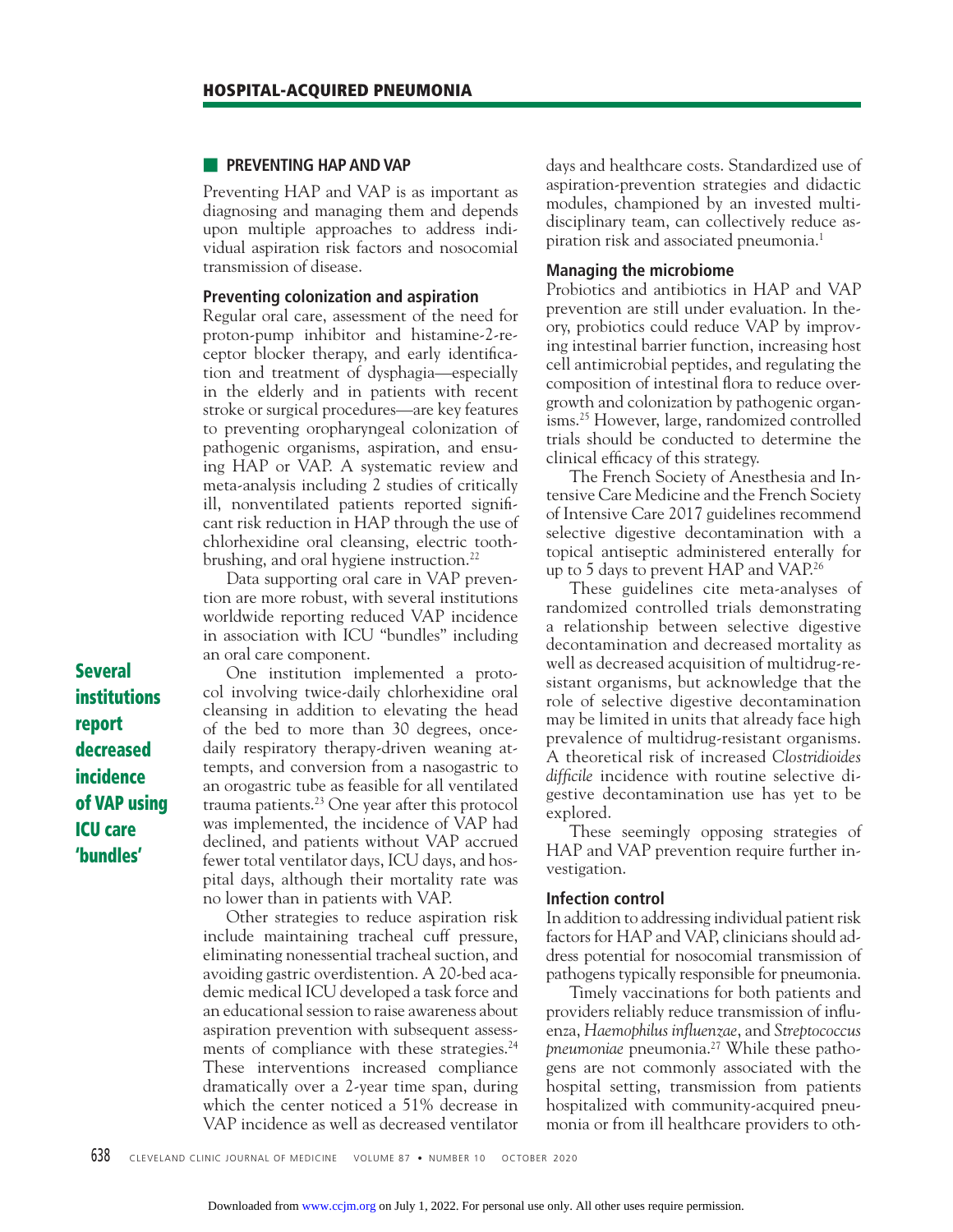#### ■ **PREVENTING HAP AND VAP**

Preventing HAP and VAP is as important as diagnosing and managing them and depends upon multiple approaches to address individual aspiration risk factors and nosocomial transmission of disease.

#### **Preventing colonization and aspiration**

Regular oral care, assessment of the need for proton-pump inhibitor and histamine-2-receptor blocker therapy, and early identification and treatment of dysphagia—especially in the elderly and in patients with recent stroke or surgical procedures—are key features to preventing oropharyngeal colonization of pathogenic organisms, aspiration, and ensuing HAP or VAP. A systematic review and meta-analysis including 2 studies of critically ill, nonventilated patients reported significant risk reduction in HAP through the use of chlorhexidine oral cleansing, electric toothbrushing, and oral hygiene instruction.<sup>22</sup>

 Data supporting oral care in VAP prevention are more robust, with several institutions worldwide reporting reduced VAP incidence in association with ICU "bundles" including an oral care component.

 One institution implemented a protocol involving twice-daily chlorhexidine oral cleansing in addition to elevating the head of the bed to more than 30 degrees, oncedaily respiratory therapy-driven weaning attempts, and conversion from a nasogastric to an orogastric tube as feasible for all ventilated trauma patients. $23$  One year after this protocol was implemented, the incidence of VAP had declined, and patients without VAP accrued fewer total ventilator days, ICU days, and hospital days, although their mortality rate was no lower than in patients with VAP.

 Other strategies to reduce aspiration risk include maintaining tracheal cuff pressure, eliminating nonessential tracheal suction, and avoiding gastric overdistention. A 20-bed academic medical ICU developed a task force and an educational session to raise awareness about aspiration prevention with subsequent assessments of compliance with these strategies.<sup>24</sup> These interventions increased compliance dramatically over a 2-year time span, during which the center noticed a 51% decrease in VAP incidence as well as decreased ventilator days and healthcare costs. Standardized use of aspiration-prevention strategies and didactic modules, championed by an invested multidisciplinary team, can collectively reduce aspiration risk and associated pneumonia.<sup>1</sup>

#### **Managing the microbiome**

Probiotics and antibiotics in HAP and VAP prevention are still under evaluation. In theory, probiotics could reduce VAP by improving intestinal barrier function, increasing host cell antimicrobial peptides, and regulating the composition of intestinal flora to reduce overgrowth and colonization by pathogenic organisms.25 However, large, randomized controlled trials should be conducted to determine the clinical efficacy of this strategy.

 The French Society of Anesthesia and Intensive Care Medicine and the French Society of Intensive Care 2017 guidelines recommend selective digestive decontamination with a topical antiseptic administered enterally for up to 5 days to prevent HAP and VAP.<sup>26</sup>

 These guidelines cite meta-analyses of randomized controlled trials demonstrating a relationship between selective digestive decontamination and decreased mortality as well as decreased acquisition of multidrug-resistant organisms, but acknowledge that the role of selective digestive decontamination may be limited in units that already face high prevalence of multidrug-resistant organisms. A theoretical risk of increased *Clostridioides difficile* incidence with routine selective digestive decontamination use has yet to be explored.

 These seemingly opposing strategies of HAP and VAP prevention require further investigation.

#### **Infection control**

In addition to addressing individual patient risk factors for HAP and VAP, clinicians should address potential for nosocomial transmission of pathogens typically responsible for pneumonia.

 Timely vaccinations for both patients and providers reliably reduce transmission of influenza, *Haemophilus infl uenzae*, and *Streptococcus pneumoniae* pneumonia.27 While these pathogens are not commonly associated with the hospital setting, transmission from patients hospitalized with community-acquired pneumonia or from ill healthcare providers to oth-

**Several institutions report decreased incidence of VAP using ICU care 'bundles'**